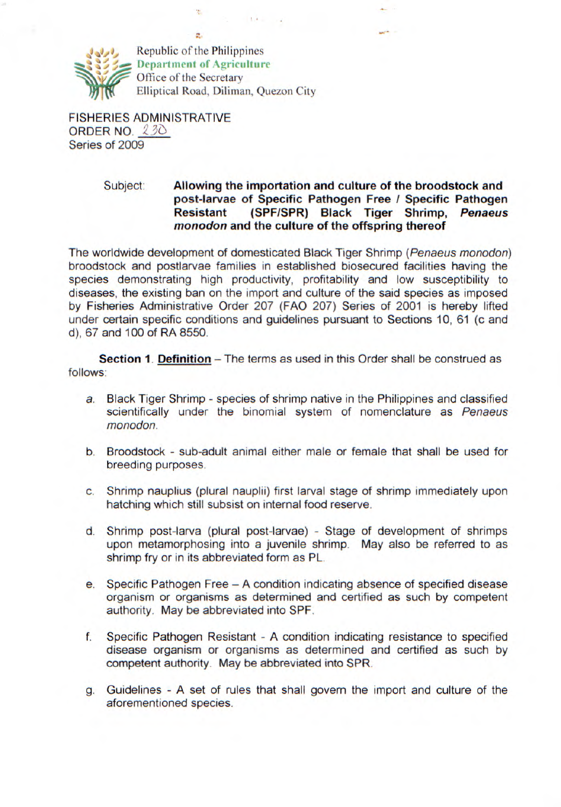

Republic of the Philippines **Department of Agriculture**<br> **Coffice of the Secretary<br>
Elliptical Road, Diliman, Que** Elliptical Road, Diliman, Quezon City

ż.

 $-1.13 - 1.7$ 

FISHERIES ADMINISTRATIVE ORDER NO.  $230$ Series of 2009

## Subject: **Allowing the importation and culture of the broodstock and post-larvae of Specific Pathogen Free I Specific Pathogen Resistant (SPF/SPR) Black Tiger Shrimp, Penaeus monodon and the culture of the offspring thereof**

The worldwide development of domesticated Black Tiger Shrimp (Penaeus monodon) broodstock and postlarvae families in established biosecured facilities having the species demonstrating high productivity, profitability and low susceptibility to diseases, the existing ban on the import and culture of the said species as imposed by Fisheries Administrative Order 207 (FAO 207) Series of 2001 is hereby lifted under certain specific conditions and guidelines pursuant to Sections 10, 61 (c and d), 67 and 100 of RA 8550.

**Section 1. Definition** – The terms as used in this Order shall be construed as follows:

- a. Black Tiger Shrimp species of shrimp native in the Philippines and classified scientifically under the binomial system of nomenclature as Penaeus monodon.
- b. Broodstock sub-adult animal either male or female that shall be used for breeding purposes.
- c. Shrimp nauplius (plural nauplii) first larval stage of shrimp immediately upon hatching which still subsist on internal food reserve.
- d. Shrimp post-larva (plural post-larvae) Stage of development of shrimps upon metamorphosing into a juvenile shrimp. May also be referred to as shrimp fry or in its abbreviated form as PL.
- e. Specific Pathogen Free A condition indicating absence of specified disease organism or organisms as determined and certified as such by competent authority. May be abbreviated into SPF.
- f. Specific Pathogen Resistant A condition indicating resistance to specified disease organism or organisms as determined and certified as such by competent authority. May be abbreviated into SPR.
- g. Guidelines A set of rules that shall govern the import and culture of the aforementioned species.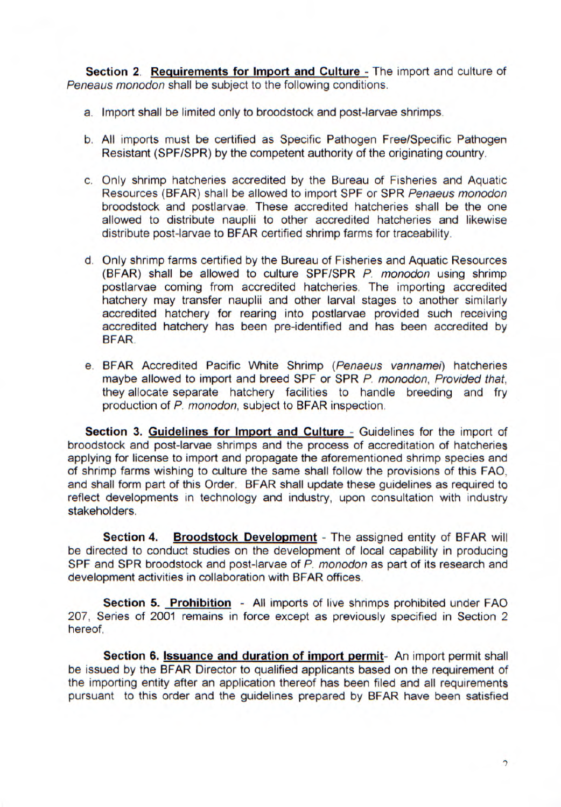**Section 2. Requirements for Import and Culture - The import and culture of** Peneaus monodon shall be subject to the following conditions.

- a. Import shall be limited only to broodstock and post-larvae shrimps.
- b. All imports must be certified as Specific Pathogen Free/Specific Pathogen Resistant (SPF/SPR) by the competent authority of the originating country.
- c. Only shrimp hatcheries accredited by the Bureau of Fisheries and Aquatic Resources (BFAR) shall be allowed to import SPF or SPR Penaeus monodon broodstock and postlarvae. These accredited hatcheries shall be the one allowed to distribute nauplii to other accredited hatcheries and likewise distribute post-larvae to BFAR certified shrimp farms for traceability.
- d. Only shrimp farms certified by the Bureau of Fisheries and Aquatic Resources (BFAR) shall be allowed to culture SPF/SPR P. monodon using shrimp postlarvae coming from accredited hatcheries. The importing accredited hatchery may transfer nauplii and other larval stages to another similarly accredited hatchery for rearing into postlarvae provided such receiving accredited hatchery has been pre-identified and has been accredited by BEAR.
- e. BFAR Accredited Pacific White Shrimp (Penaeus vannamei) hatcheries maybe allowed to import and breed SPF or SPR P. monodon, Provided that, they allocate separate hatchery facilities to handle breeding and fry production of P. monodon, subject to BFAR inspection.

**Section 3. Guidelines for Import and Culture** - Guidelines for the import of broodstock and post-larvae shrimps and the process of accreditation of hatcheries applying for license to import and propagate the aforementioned shrimp species and of shrimp farms wishing to culture the same shall follow the provisions of this FAD. and shall form part of this Order. BFAR shall update these guidelines as required to reflect developments in technology and industry, upon consultation with industry stakeholders.

**Section 4. Broodstock Development** - The assigned entity of BFAR will be directed to conduct studies on the development of local capability in producing SPF and SPR broodstock and post-larvae of P. monodon as part of its research and development activities in collaboration with BEAR offices.

**Section 5. Prohibition** - All imports of live shrimps prohibited under FAO 207, Series of 2001 remains in force except as previously specified in Section 2 hereof.

**Section 6. Issuance and duration of import permit-** An import permit shall be issued by the BEAR Director to qualified applicants based on the requirement of the importing entity after an application thereof has been filed and all requirements pursuant to this order and the guidelines prepared by BEAR have been satisfied